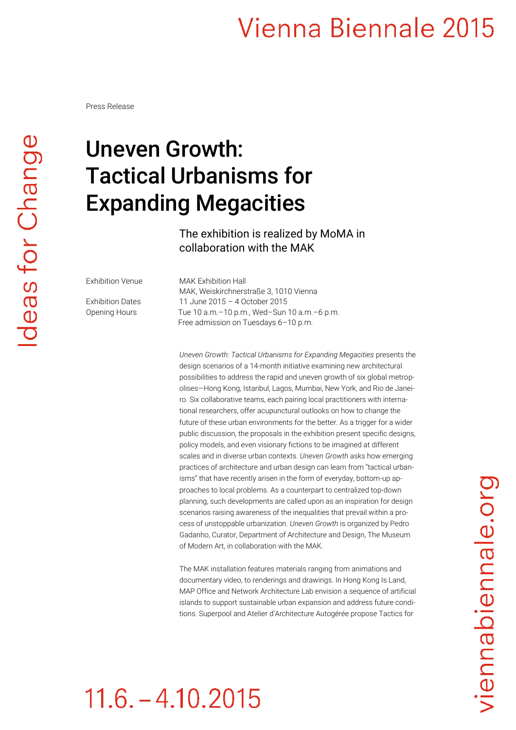Press Release

### Uneven Growth: Tactical Urbanisms for Expanding Megacities

The exhibition is realized by MoMA in collaboration with the MAK

Exhibition Venue MAK Exhibition Hall MAK, Weiskirchnerstraße 3, 1010 Vienna Exhibition Dates 11 June 2015 – 4 October 2015 Opening Hours Tue 10 a.m. - 10 p.m., Wed-Sun 10 a.m. - 6 p.m. Free admission on Tuesdays 6–10 p.m.

> *Uneven Growth: Tactical Urbanisms for Expanding Megacities* presents the design scenarios of a 14-month initiative examining new architectural possibilities to address the rapid and uneven growth of six global metropolises—Hong Kong, Istanbul, Lagos, Mumbai, New York, and Rio de Janeiro. Six collaborative teams, each pairing local practitioners with international researchers, offer acupunctural outlooks on how to change the future of these urban environments for the better. As a trigger for a wider public discussion, the proposals in the exhibition present specific designs, policy models, and even visionary fictions to be imagined at different scales and in diverse urban contexts. *Uneven Growth* asks how emerging practices of architecture and urban design can learn from "tactical urbanisms" that have recently arisen in the form of everyday, bottom-up approaches to local problems. As a counterpart to centralized top-down planning, such developments are called upon as an inspiration for design scenarios raising awareness of the inequalities that prevail within a process of unstoppable urbanization. *Uneven Growth* is organized by Pedro Gadanho, Curator, Department of Architecture and Design, The Museum of Modern Art, in collaboration with the MAK.

> The MAK installation features materials ranging from animations and documentary video, to renderings and drawings. In Hong Kong Is Land, MAP Office and Network Architecture Lab envision a sequence of artificial islands to support sustainable urban expansion and address future conditions. Superpool and Atelier d'Architecture Autogérée propose Tactics for

## $11.6 - 4.10.2015$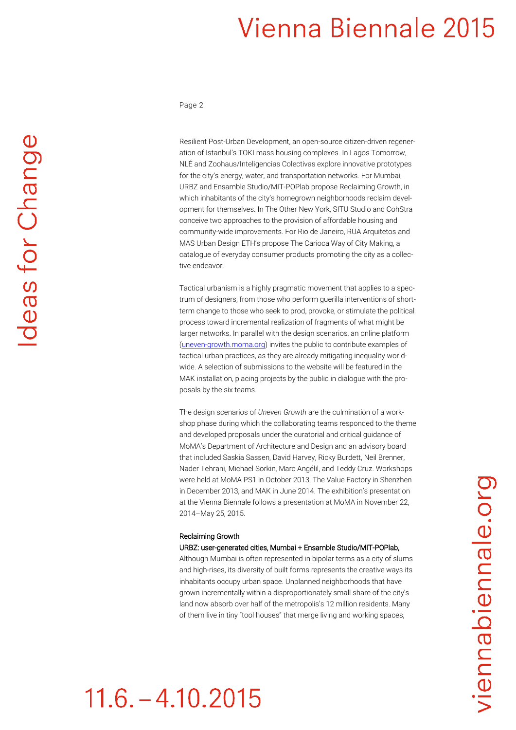Page 2

Resilient Post-Urban Development, an open-source citizen-driven regeneration of Istanbul's TOKI mass housing complexes. In Lagos Tomorrow, NLÉ and Zoohaus/Inteligencias Colectivas explore innovative prototypes for the city's energy, water, and transportation networks. For Mumbai, URBZ and Ensamble Studio/MIT-POPlab propose Reclaiming Growth, in which inhabitants of the city's homegrown neighborhoods reclaim development for themselves. In The Other New York, SITU Studio and CohStra conceive two approaches to the provision of affordable housing and community-wide improvements. For Rio de Janeiro, RUA Arquitetos and MAS Urban Design ETH's propose The Carioca Way of City Making, a catalogue of everyday consumer products promoting the city as a collective endeavor.

Tactical urbanism is a highly pragmatic movement that applies to a spectrum of designers, from those who perform guerilla interventions of shortterm change to those who seek to prod, provoke, or stimulate the political process toward incremental realization of fragments of what might be larger networks. In parallel with the design scenarios, an online platform [\(uneven-growth.moma.org\)](http://uneven-growth.moma.org/) invites the public to contribute examples of tactical urban practices, as they are already mitigating inequality worldwide. A selection of submissions to the website will be featured in the MAK installation, placing projects by the public in dialogue with the proposals by the six teams.

The design scenarios of *Uneven Growth* are the culmination of a workshop phase during which the collaborating teams responded to the theme and developed proposals under the curatorial and critical guidance of MoMA's Department of Architecture and Design and an advisory board that included Saskia Sassen, David Harvey, Ricky Burdett, Neil Brenner, Nader Tehrani, Michael Sorkin, Marc Angélil, and Teddy Cruz. Workshops were held at MoMA PS1 in October 2013, The Value Factory in Shenzhen in December 2013, and MAK in June 2014. The exhibition's presentation at the Vienna Biennale follows a presentation at MoMA in November 22, 2014–May 25, 2015.

#### Reclaiming Growth

#### URBZ: user-generated cities, Mumbai + Ensamble Studio/MIT-POPlab,

Although Mumbai is often represented in bipolar terms as a city of slums and high-rises, its diversity of built forms represents the creative ways its inhabitants occupy urban space. Unplanned neighborhoods that have grown incrementally within a disproportionately small share of the city's land now absorb over half of the metropolis's 12 million residents. Many of them live in tiny "tool houses" that merge living and working spaces,

## $11.6 - 4.10.2015$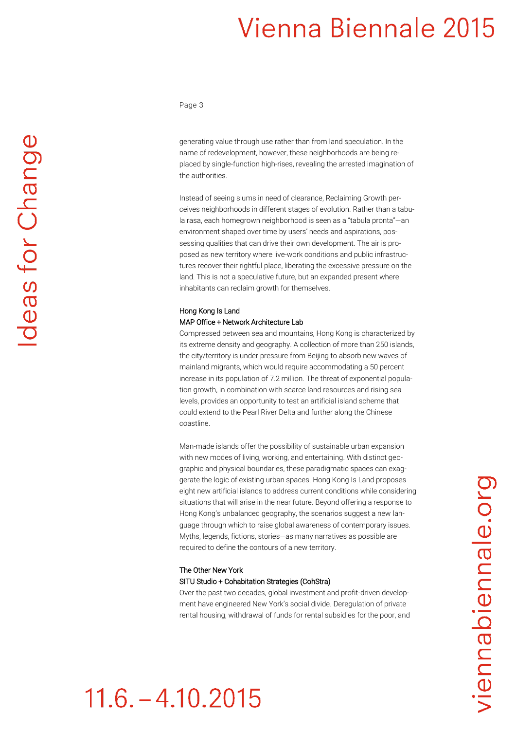Page 3

generating value through use rather than from land speculation. In the name of redevelopment, however, these neighborhoods are being replaced by single-function high-rises, revealing the arrested imagination of the authorities.

Instead of seeing slums in need of clearance, Reclaiming Growth perceives neighborhoods in different stages of evolution. Rather than a tabula rasa, each homegrown neighborhood is seen as a "tabula pronta"—an environment shaped over time by users' needs and aspirations, possessing qualities that can drive their own development. The air is proposed as new territory where live-work conditions and public infrastructures recover their rightful place, liberating the excessive pressure on the land. This is not a speculative future, but an expanded present where inhabitants can reclaim growth for themselves.

#### Hong Kong Is Land MAP Office + Network Architecture Lab

Compressed between sea and mountains, Hong Kong is characterized by its extreme density and geography. A collection of more than 250 islands, the city/territory is under pressure from Beijing to absorb new waves of mainland migrants, which would require accommodating a 50 percent increase in its population of 7.2 million. The threat of exponential population growth, in combination with scarce land resources and rising sea levels, provides an opportunity to test an artificial island scheme that could extend to the Pearl River Delta and further along the Chinese coastline.

Man-made islands offer the possibility of sustainable urban expansion with new modes of living, working, and entertaining. With distinct geographic and physical boundaries, these paradigmatic spaces can exaggerate the logic of existing urban spaces. Hong Kong Is Land proposes eight new artificial islands to address current conditions while considering situations that will arise in the near future. Beyond offering a response to Hong Kong's unbalanced geography, the scenarios suggest a new language through which to raise global awareness of contemporary issues. Myths, legends, fictions, stories—as many narratives as possible are required to define the contours of a new territory.

#### The Other New York SITU Studio + Cohabitation Strategies (CohStra)

 $11.6 - 4.10.2015$ 

Over the past two decades, global investment and profit-driven development have engineered New York's social divide. Deregulation of private rental housing, withdrawal of funds for rental subsidies for the poor, and

# deas for Change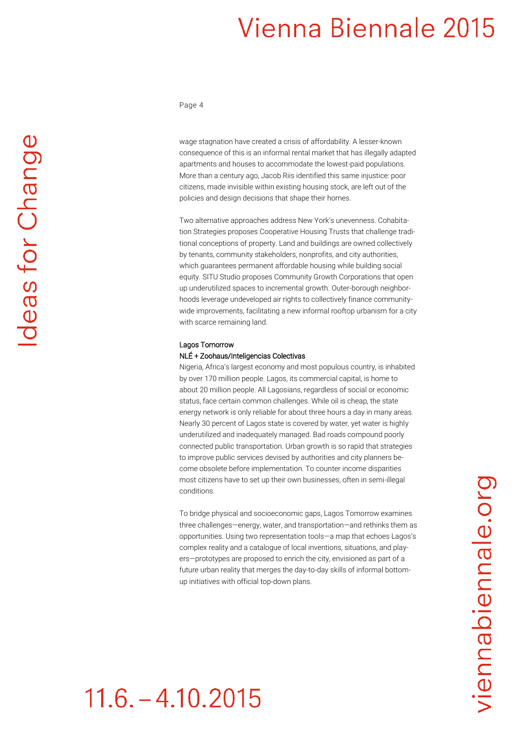Page 4

wage stagnation have created a crisis of affordability. A lesser-known consequence of this is an informal rental market that has illegally adapted apartments and houses to accommodate the lowest-paid populations. More than a century ago, Jacob Riis identified this same injustice: poor citizens, made invisible within existing housing stock, are left out of the policies and design decisions that shape their homes.

Two alternative approaches address New York's unevenness. Cohabitation Strategies proposes Cooperative Housing Trusts that challenge traditional conceptions of property. Land and buildings are owned collectively by tenants, community stakeholders, nonprofits, and city authorities, which guarantees permanent affordable housing while building social equity. SITU Studio proposes Community Growth Corporations that open up underutilized spaces to incremental growth. Outer-borough neighborhoods leverage undeveloped air rights to collectively finance communitywide improvements, facilitating a new informal rooftop urbanism for a city with scarce remaining land.

#### Lagos Tomorrow

 $11.6 - 4.10.2015$ 

#### NLÉ + Zoohaus/Inteligencias Colectivas

Nigeria, Africa's largest economy and most populous country, is inhabited by over 170 million people. Lagos, its commercial capital, is home to about 20 million people. All Lagosians, regardless of social or economic status, face certain common challenges. While oil is cheap, the state energy network is only reliable for about three hours a day in many areas. Nearly 30 percent of Lagos state is covered by water, yet water is highly underutilized and inadequately managed. Bad roads compound poorly connected public transportation. Urban growth is so rapid that strategies to improve public services devised by authorities and city planners become obsolete before implementation. To counter income disparities most citizens have to set up their own businesses, often in semi-illegal conditions.

To bridge physical and socioeconomic gaps, Lagos Tomorrow examines three challenges—energy, water, and transportation—and rethinks them as opportunities. Using two representation tools—a map that echoes Lagos's complex reality and a catalogue of local inventions, situations, and players—prototypes are proposed to enrich the city, envisioned as part of a future urban reality that merges the day-to-day skills of informal bottomup initiatives with official top-down plans.

## viennabiennale.org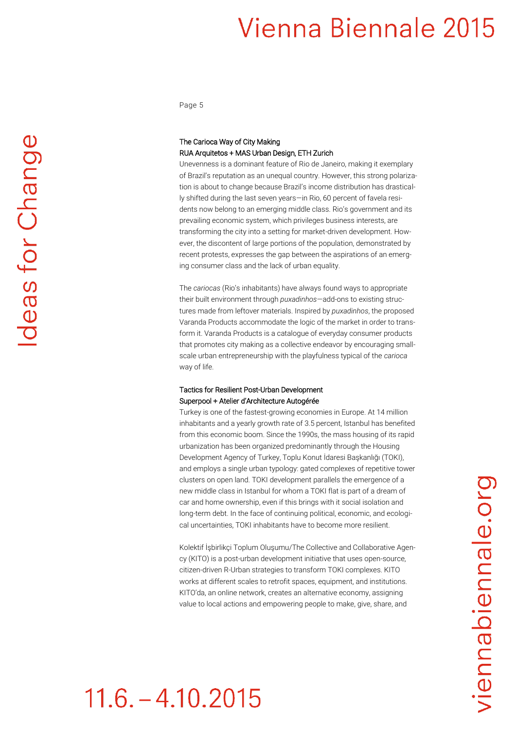Page 5

#### The Carioca Way of City Making RUA Arquitetos + MAS Urban Design, ETH Zurich

Unevenness is a dominant feature of Rio de Janeiro, making it exemplary of Brazil's reputation as an unequal country. However, this strong polarization is about to change because Brazil's income distribution has drastically shifted during the last seven years—in Rio, 60 percent of favela residents now belong to an emerging middle class. Rio's government and its prevailing economic system, which privileges business interests, are transforming the city into a setting for market-driven development. However, the discontent of large portions of the population, demonstrated by recent protests, expresses the gap between the aspirations of an emerging consumer class and the lack of urban equality.

The *cariocas* (Rio's inhabitants) have always found ways to appropriate their built environment through *puxadinhos*—add-ons to existing structures made from leftover materials. Inspired by *puxadinhos*, the proposed Varanda Products accommodate the logic of the market in order to transform it. Varanda Products is a catalogue of everyday consumer products that promotes city making as a collective endeavor by encouraging smallscale urban entrepreneurship with the playfulness typical of the *carioca*  way of life.

#### Tactics for Resilient Post-Urban Development Superpool + Atelier d'Architecture Autogérée

Turkey is one of the fastest-growing economies in Europe. At 14 million inhabitants and a yearly growth rate of 3.5 percent, Istanbul has benefited from this economic boom. Since the 1990s, the mass housing of its rapid urbanization has been organized predominantly through the Housing Development Agency of Turkey, Toplu Konut İdaresi Başkanlığı (TOKI), and employs a single urban typology: gated complexes of repetitive tower clusters on open land. TOKI development parallels the emergence of a new middle class in Istanbul for whom a TOKI flat is part of a dream of car and home ownership, even if this brings with it social isolation and long-term debt. In the face of continuing political, economic, and ecological uncertainties, TOKI inhabitants have to become more resilient.

Kolektif İşbirlikçi Toplum Oluşumu/The Collective and Collaborative Agency (KITO) is a post-urban development initiative that uses open-source, citizen-driven R-Urban strategies to transform TOKI complexes. KITO works at different scales to retrofit spaces, equipment, and institutions. KITO'da, an online network, creates an alternative economy, assigning value to local actions and empowering people to make, give, share, and

## $11.6. - 4.10.2015$